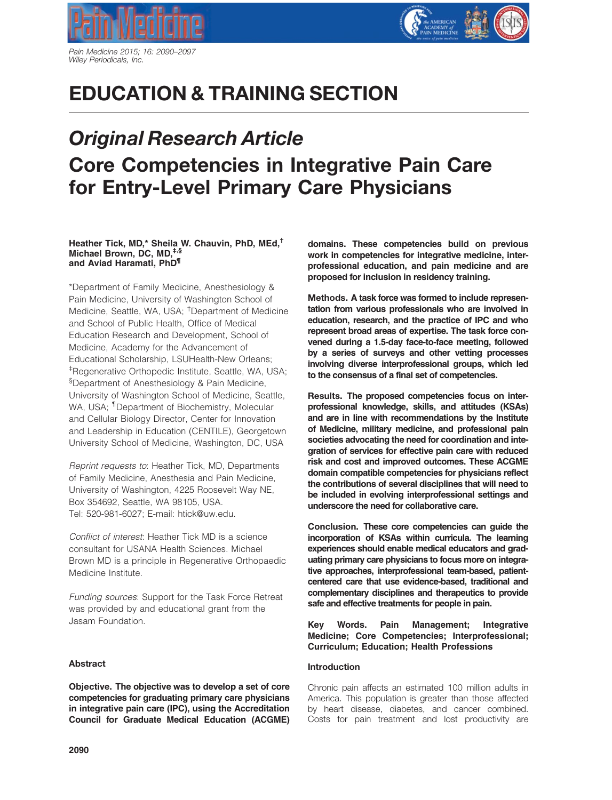



# EDUCATION & TRAINING SECTION

# Original Research Article Core Competencies in Integrative Pain Care for Entry-Level Primary Care Physicians

### Heather Tick, MD,\* Sheila W. Chauvin, PhD, MEd,† Michael Brown, DC, MD,‡,§ and Aviad Haramati, PhD<sup>¶</sup>

\*Department of Family Medicine, Anesthesiology & Pain Medicine, University of Washington School of Medicine, Seattle, WA, USA; † Department of Medicine and School of Public Health, Office of Medical Education Research and Development, School of Medicine, Academy for the Advancement of Educational Scholarship, LSUHealth-New Orleans; ‡ Regenerative Orthopedic Institute, Seattle, WA, USA; § Department of Anesthesiology & Pain Medicine, University of Washington School of Medicine, Seattle, WA, USA; <sup>1</sup>Department of Biochemistry, Molecular and Cellular Biology Director, Center for Innovation and Leadership in Education (CENTILE), Georgetown University School of Medicine, Washington, DC, USA

Reprint requests to: Heather Tick, MD, Departments of Family Medicine, Anesthesia and Pain Medicine, University of Washington, 4225 Roosevelt Way NE, Box 354692, Seattle, WA 98105, USA. Tel: 520-981-6027; E-mail: htick@uw.edu.

Conflict of interest: Heather Tick MD is a science consultant for USANA Health Sciences. Michael Brown MD is a principle in Regenerative Orthopaedic Medicine Institute.

Funding sources: Support for the Task Force Retreat was provided by and educational grant from the Jasam Foundation.

# Abstract

Objective. The objective was to develop a set of core competencies for graduating primary care physicians in integrative pain care (IPC), using the Accreditation Council for Graduate Medical Education (ACGME)

domains. These competencies build on previous work in competencies for integrative medicine, interprofessional education, and pain medicine and are proposed for inclusion in residency training.

Methods. A task force was formed to include representation from various professionals who are involved in education, research, and the practice of IPC and who represent broad areas of expertise. The task force convened during a 1.5-day face-to-face meeting, followed by a series of surveys and other vetting processes involving diverse interprofessional groups, which led to the consensus of a final set of competencies.

Results. The proposed competencies focus on interprofessional knowledge, skills, and attitudes (KSAs) and are in line with recommendations by the Institute of Medicine, military medicine, and professional pain societies advocating the need for coordination and integration of services for effective pain care with reduced risk and cost and improved outcomes. These ACGME domain compatible competencies for physicians reflect the contributions of several disciplines that will need to be included in evolving interprofessional settings and underscore the need for collaborative care.

Conclusion. These core competencies can guide the incorporation of KSAs within curricula. The learning experiences should enable medical educators and graduating primary care physicians to focus more on integrative approaches, interprofessional team-based, patientcentered care that use evidence-based, traditional and complementary disciplines and therapeutics to provide safe and effective treatments for people in pain.

Key Words. Pain Management; Integrative Medicine; Core Competencies; Interprofessional; Curriculum; Education; Health Professions

# Introduction

Chronic pain affects an estimated 100 million adults in America. This population is greater than those affected by heart disease, diabetes, and cancer combined. Costs for pain treatment and lost productivity are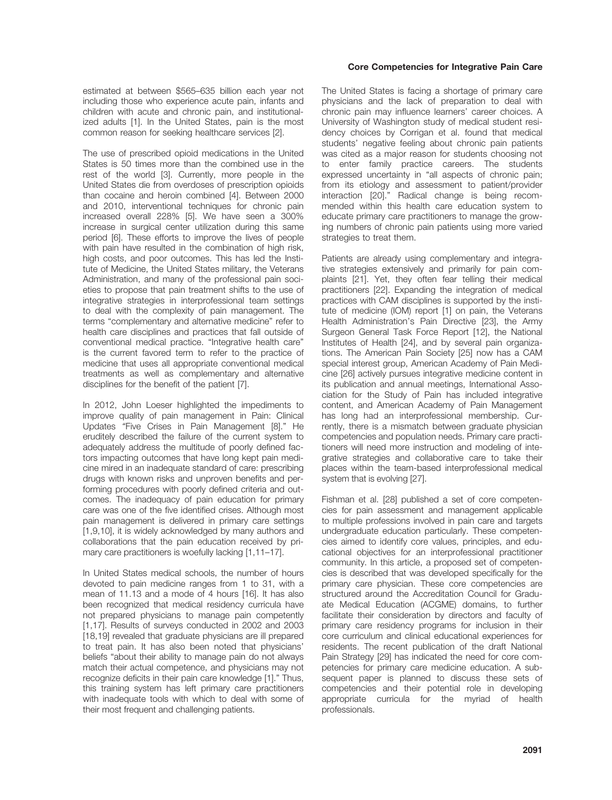estimated at between \$565–635 billion each year not including those who experience acute pain, infants and children with acute and chronic pain, and institutionalized adults [1]. In the United States, pain is the most common reason for seeking healthcare services [2].

The use of prescribed opioid medications in the United States is 50 times more than the combined use in the rest of the world [3]. Currently, more people in the United States die from overdoses of prescription opioids than cocaine and heroin combined [4]. Between 2000 and 2010, interventional techniques for chronic pain increased overall 228% [5]. We have seen a 300% increase in surgical center utilization during this same period [6]. These efforts to improve the lives of people with pain have resulted in the combination of high risk, high costs, and poor outcomes. This has led the Institute of Medicine, the United States military, the Veterans Administration, and many of the professional pain societies to propose that pain treatment shifts to the use of integrative strategies in interprofessional team settings to deal with the complexity of pain management. The terms "complementary and alternative medicine" refer to health care disciplines and practices that fall outside of conventional medical practice. "Integrative health care" is the current favored term to refer to the practice of medicine that uses all appropriate conventional medical treatments as well as complementary and alternative disciplines for the benefit of the patient [7].

In 2012, John Loeser highlighted the impediments to improve quality of pain management in Pain: Clinical Updates "Five Crises in Pain Management [8]." He eruditely described the failure of the current system to adequately address the multitude of poorly defined factors impacting outcomes that have long kept pain medicine mired in an inadequate standard of care: prescribing drugs with known risks and unproven benefits and performing procedures with poorly defined criteria and outcomes. The inadequacy of pain education for primary care was one of the five identified crises. Although most pain management is delivered in primary care settings [1,9,10], it is widely acknowledged by many authors and collaborations that the pain education received by primary care practitioners is woefully lacking [1,11–17].

In United States medical schools, the number of hours devoted to pain medicine ranges from 1 to 31, with a mean of 11.13 and a mode of 4 hours [16]. It has also been recognized that medical residency curricula have not prepared physicians to manage pain competently [1,17]. Results of surveys conducted in 2002 and 2003 [18,19] revealed that graduate physicians are ill prepared to treat pain. It has also been noted that physicians' beliefs "about their ability to manage pain do not always match their actual competence, and physicians may not recognize deficits in their pain care knowledge [1]." Thus, this training system has left primary care practitioners with inadequate tools with which to deal with some of their most frequent and challenging patients.

# Core Competencies for Integrative Pain Care

The United States is facing a shortage of primary care physicians and the lack of preparation to deal with chronic pain may influence learners' career choices. A University of Washington study of medical student residency choices by Corrigan et al. found that medical students' negative feeling about chronic pain patients was cited as a major reason for students choosing not to enter family practice careers. The students expressed uncertainty in "all aspects of chronic pain; from its etiology and assessment to patient/provider interaction [20]." Radical change is being recommended within this health care education system to educate primary care practitioners to manage the growing numbers of chronic pain patients using more varied strategies to treat them.

Patients are already using complementary and integrative strategies extensively and primarily for pain complaints [21]. Yet, they often fear telling their medical practitioners [22]. Expanding the integration of medical practices with CAM disciplines is supported by the institute of medicine (IOM) report [1] on pain, the Veterans Health Administration's Pain Directive [23], the Army Surgeon General Task Force Report [12], the National Institutes of Health [24], and by several pain organizations. The American Pain Society [25] now has a CAM special interest group, American Academy of Pain Medicine [26] actively pursues integrative medicine content in its publication and annual meetings, International Association for the Study of Pain has included integrative content, and American Academy of Pain Management has long had an interprofessional membership. Currently, there is a mismatch between graduate physician competencies and population needs. Primary care practitioners will need more instruction and modeling of integrative strategies and collaborative care to take their places within the team-based interprofessional medical system that is evolving [27].

Fishman et al. [28] published a set of core competencies for pain assessment and management applicable to multiple professions involved in pain care and targets undergraduate education particularly. These competencies aimed to identify core values, principles, and educational objectives for an interprofessional practitioner community. In this article, a proposed set of competencies is described that was developed specifically for the primary care physician. These core competencies are structured around the Accreditation Council for Graduate Medical Education (ACGME) domains, to further facilitate their consideration by directors and faculty of primary care residency programs for inclusion in their core curriculum and clinical educational experiences for residents. The recent publication of the draft National Pain Strategy [29] has indicated the need for core competencies for primary care medicine education. A subsequent paper is planned to discuss these sets of competencies and their potential role in developing appropriate curricula for the myriad of health professionals.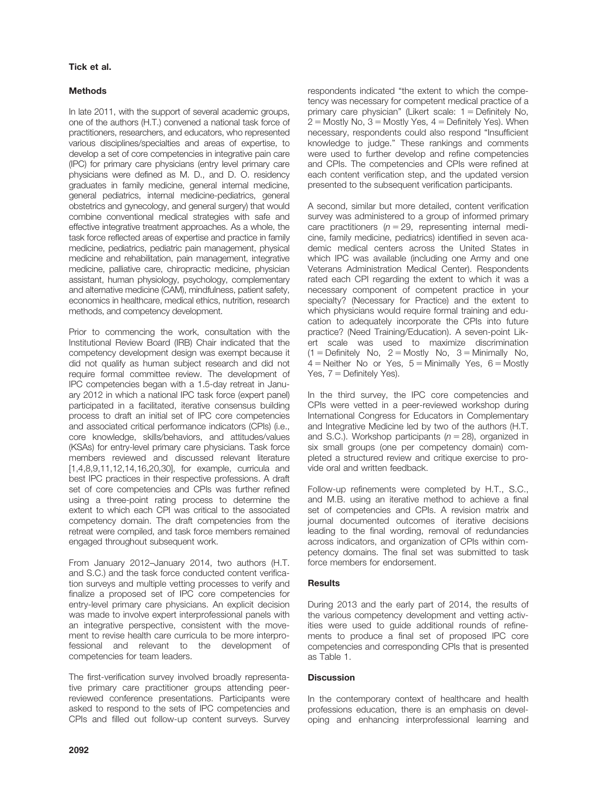# Tick et al.

# **Methods**

In late 2011, with the support of several academic groups, one of the authors (H.T.) convened a national task force of practitioners, researchers, and educators, who represented various disciplines/specialties and areas of expertise, to develop a set of core competencies in integrative pain care (IPC) for primary care physicians (entry level primary care physicians were defined as M. D., and D. O. residency graduates in family medicine, general internal medicine, general pediatrics, internal medicine-pediatrics, general obstetrics and gynecology, and general surgery) that would combine conventional medical strategies with safe and effective integrative treatment approaches. As a whole, the task force reflected areas of expertise and practice in family medicine, pediatrics, pediatric pain management, physical medicine and rehabilitation, pain management, integrative medicine, palliative care, chiropractic medicine, physician assistant, human physiology, psychology, complementary and alternative medicine (CAM), mindfulness, patient safety, economics in healthcare, medical ethics, nutrition, research methods, and competency development.

Prior to commencing the work, consultation with the Institutional Review Board (IRB) Chair indicated that the competency development design was exempt because it did not qualify as human subject research and did not require formal committee review. The development of IPC competencies began with a 1.5-day retreat in January 2012 in which a national IPC task force (expert panel) participated in a facilitated, iterative consensus building process to draft an initial set of IPC core competencies and associated critical performance indicators (CPIs) (i.e., core knowledge, skills/behaviors, and attitudes/values (KSAs) for entry-level primary care physicians. Task force members reviewed and discussed relevant literature [1,4,8,9,11,12,14,16,20,30], for example, curricula and best IPC practices in their respective professions. A draft set of core competencies and CPIs was further refined using a three-point rating process to determine the extent to which each CPI was critical to the associated competency domain. The draft competencies from the retreat were compiled, and task force members remained engaged throughout subsequent work.

From January 2012–January 2014, two authors (H.T. and S.C.) and the task force conducted content verification surveys and multiple vetting processes to verify and finalize a proposed set of IPC core competencies for entry-level primary care physicians. An explicit decision was made to involve expert interprofessional panels with an integrative perspective, consistent with the movement to revise health care curricula to be more interprofessional and relevant to the development of competencies for team leaders.

The first-verification survey involved broadly representative primary care practitioner groups attending peerreviewed conference presentations. Participants were asked to respond to the sets of IPC competencies and CPIs and filled out follow-up content surveys. Survey

respondents indicated "the extent to which the competency was necessary for competent medical practice of a primary care physician" (Likert scale:  $1 =$  Definitely No,  $2 =$  Mostly No,  $3 =$  Mostly Yes,  $4 =$  Definitely Yes). When necessary, respondents could also respond "Insufficient knowledge to judge." These rankings and comments were used to further develop and refine competencies and CPIs. The competencies and CPIs were refined at each content verification step, and the updated version presented to the subsequent verification participants.

A second, similar but more detailed, content verification survey was administered to a group of informed primary care practitioners ( $n = 29$ , representing internal medicine, family medicine, pediatrics) identified in seven academic medical centers across the United States in which IPC was available (including one Army and one Veterans Administration Medical Center). Respondents rated each CPI regarding the extent to which it was a necessary component of competent practice in your specialty? (Necessary for Practice) and the extent to which physicians would require formal training and education to adequately incorporate the CPIs into future practice? (Need Training/Education). A seven-point Likert scale was used to maximize discrimination  $(1 = Definitely No, 2 = Mostly No, 3 = Minimally No,$  $4 =$  Neither No or Yes,  $5 =$  Minimally Yes,  $6 =$  Mostly Yes,  $7 =$  Definitely Yes).

In the third survey, the IPC core competencies and CPIs were vetted in a peer-reviewed workshop during International Congress for Educators in Complementary and Integrative Medicine led by two of the authors (H.T. and S.C.). Workshop participants ( $n = 28$ ), organized in six small groups (one per competency domain) completed a structured review and critique exercise to provide oral and written feedback.

Follow-up refinements were completed by H.T., S.C., and M.B. using an iterative method to achieve a final set of competencies and CPIs. A revision matrix and journal documented outcomes of iterative decisions leading to the final wording, removal of redundancies across indicators, and organization of CPIs within competency domains. The final set was submitted to task force members for endorsement.

# **Results**

During 2013 and the early part of 2014, the results of the various competency development and vetting activities were used to guide additional rounds of refinements to produce a final set of proposed IPC core competencies and corresponding CPIs that is presented as Table 1.

# **Discussion**

In the contemporary context of healthcare and health professions education, there is an emphasis on developing and enhancing interprofessional learning and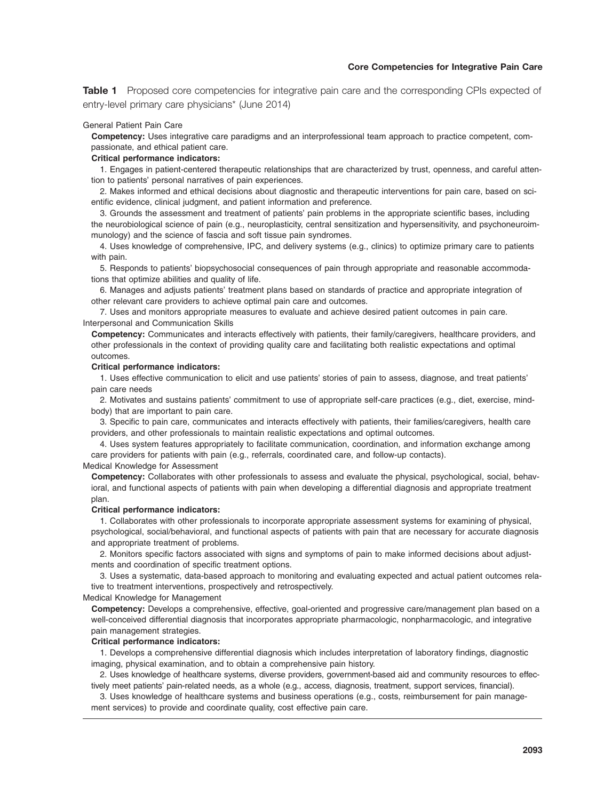# Core Competencies for Integrative Pain Care

**Table 1** Proposed core competencies for integrative pain care and the corresponding CPIs expected of entry-level primary care physicians\* (June 2014)

#### General Patient Pain Care

Competency: Uses integrative care paradigms and an interprofessional team approach to practice competent, compassionate, and ethical patient care.

#### Critical performance indicators:

1. Engages in patient-centered therapeutic relationships that are characterized by trust, openness, and careful attention to patients' personal narratives of pain experiences.

2. Makes informed and ethical decisions about diagnostic and therapeutic interventions for pain care, based on scientific evidence, clinical judgment, and patient information and preference.

3. Grounds the assessment and treatment of patients' pain problems in the appropriate scientific bases, including the neurobiological science of pain (e.g., neuroplasticity, central sensitization and hypersensitivity, and psychoneuroimmunology) and the science of fascia and soft tissue pain syndromes.

4. Uses knowledge of comprehensive, IPC, and delivery systems (e.g., clinics) to optimize primary care to patients with pain.

5. Responds to patients' biopsychosocial consequences of pain through appropriate and reasonable accommodations that optimize abilities and quality of life.

6. Manages and adjusts patients' treatment plans based on standards of practice and appropriate integration of other relevant care providers to achieve optimal pain care and outcomes.

7. Uses and monitors appropriate measures to evaluate and achieve desired patient outcomes in pain care. Interpersonal and Communication Skills

Competency: Communicates and interacts effectively with patients, their family/caregivers, healthcare providers, and other professionals in the context of providing quality care and facilitating both realistic expectations and optimal outcomes.

#### Critical performance indicators:

1. Uses effective communication to elicit and use patients' stories of pain to assess, diagnose, and treat patients' pain care needs

2. Motivates and sustains patients' commitment to use of appropriate self-care practices (e.g., diet, exercise, mindbody) that are important to pain care.

3. Specific to pain care, communicates and interacts effectively with patients, their families/caregivers, health care providers, and other professionals to maintain realistic expectations and optimal outcomes.

4. Uses system features appropriately to facilitate communication, coordination, and information exchange among care providers for patients with pain (e.g., referrals, coordinated care, and follow-up contacts).

Medical Knowledge for Assessment

Competency: Collaborates with other professionals to assess and evaluate the physical, psychological, social, behavioral, and functional aspects of patients with pain when developing a differential diagnosis and appropriate treatment plan.

#### Critical performance indicators:

1. Collaborates with other professionals to incorporate appropriate assessment systems for examining of physical, psychological, social/behavioral, and functional aspects of patients with pain that are necessary for accurate diagnosis and appropriate treatment of problems.

2. Monitors specific factors associated with signs and symptoms of pain to make informed decisions about adjustments and coordination of specific treatment options.

3. Uses a systematic, data-based approach to monitoring and evaluating expected and actual patient outcomes relative to treatment interventions, prospectively and retrospectively.

# Medical Knowledge for Management

Competency: Develops a comprehensive, effective, goal-oriented and progressive care/management plan based on a well-conceived differential diagnosis that incorporates appropriate pharmacologic, nonpharmacologic, and integrative pain management strategies.

#### Critical performance indicators:

1. Develops a comprehensive differential diagnosis which includes interpretation of laboratory findings, diagnostic imaging, physical examination, and to obtain a comprehensive pain history.

2. Uses knowledge of healthcare systems, diverse providers, government-based aid and community resources to effectively meet patients' pain-related needs, as a whole (e.g., access, diagnosis, treatment, support services, financial).

3. Uses knowledge of healthcare systems and business operations (e.g., costs, reimbursement for pain management services) to provide and coordinate quality, cost effective pain care.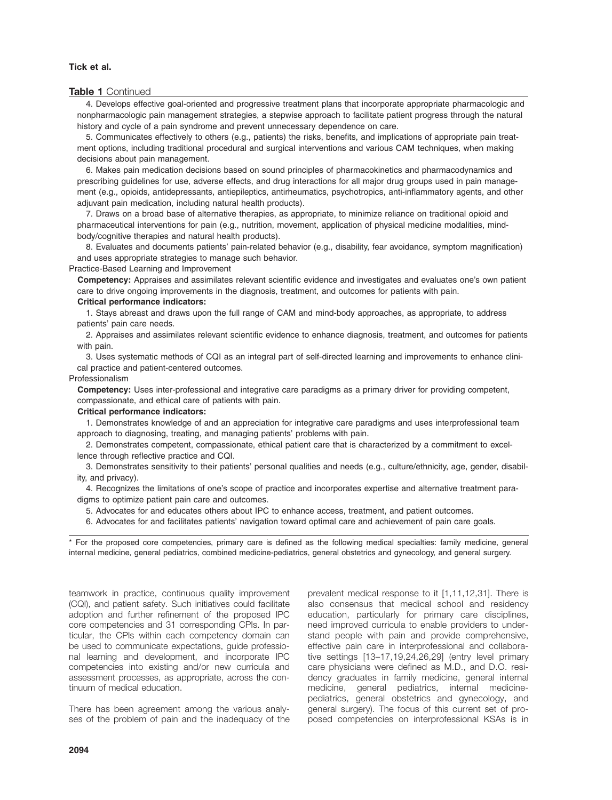# Tick et al.

### Table 1 Continued

4. Develops effective goal-oriented and progressive treatment plans that incorporate appropriate pharmacologic and nonpharmacologic pain management strategies, a stepwise approach to facilitate patient progress through the natural history and cycle of a pain syndrome and prevent unnecessary dependence on care.

5. Communicates effectively to others (e.g., patients) the risks, benefits, and implications of appropriate pain treatment options, including traditional procedural and surgical interventions and various CAM techniques, when making decisions about pain management.

6. Makes pain medication decisions based on sound principles of pharmacokinetics and pharmacodynamics and prescribing guidelines for use, adverse effects, and drug interactions for all major drug groups used in pain management (e.g., opioids, antidepressants, antiepileptics, antirheumatics, psychotropics, anti-inflammatory agents, and other adjuvant pain medication, including natural health products).

7. Draws on a broad base of alternative therapies, as appropriate, to minimize reliance on traditional opioid and pharmaceutical interventions for pain (e.g., nutrition, movement, application of physical medicine modalities, mindbody/cognitive therapies and natural health products).

8. Evaluates and documents patients' pain-related behavior (e.g., disability, fear avoidance, symptom magnification) and uses appropriate strategies to manage such behavior.

#### Practice-Based Learning and Improvement

Competency: Appraises and assimilates relevant scientific evidence and investigates and evaluates one's own patient care to drive ongoing improvements in the diagnosis, treatment, and outcomes for patients with pain.

#### Critical performance indicators:

1. Stays abreast and draws upon the full range of CAM and mind-body approaches, as appropriate, to address patients' pain care needs.

2. Appraises and assimilates relevant scientific evidence to enhance diagnosis, treatment, and outcomes for patients with pain.

3. Uses systematic methods of CQI as an integral part of self-directed learning and improvements to enhance clinical practice and patient-centered outcomes.

#### Professionalism

Competency: Uses inter-professional and integrative care paradigms as a primary driver for providing competent, compassionate, and ethical care of patients with pain.

#### Critical performance indicators:

1. Demonstrates knowledge of and an appreciation for integrative care paradigms and uses interprofessional team approach to diagnosing, treating, and managing patients' problems with pain.

2. Demonstrates competent, compassionate, ethical patient care that is characterized by a commitment to excellence through reflective practice and CQI.

3. Demonstrates sensitivity to their patients' personal qualities and needs (e.g., culture/ethnicity, age, gender, disability, and privacy).

4. Recognizes the limitations of one's scope of practice and incorporates expertise and alternative treatment paradigms to optimize patient pain care and outcomes.

5. Advocates for and educates others about IPC to enhance access, treatment, and patient outcomes.

6. Advocates for and facilitates patients' navigation toward optimal care and achievement of pain care goals.

\* For the proposed core competencies, primary care is defined as the following medical specialties: family medicine, general internal medicine, general pediatrics, combined medicine-pediatrics, general obstetrics and gynecology, and general surgery.

teamwork in practice, continuous quality improvement (CQI), and patient safety. Such initiatives could facilitate adoption and further refinement of the proposed IPC core competencies and 31 corresponding CPIs. In particular, the CPIs within each competency domain can be used to communicate expectations, guide professional learning and development, and incorporate IPC competencies into existing and/or new curricula and assessment processes, as appropriate, across the continuum of medical education.

There has been agreement among the various analyses of the problem of pain and the inadequacy of the prevalent medical response to it [1,11,12,31]. There is also consensus that medical school and residency education, particularly for primary care disciplines, need improved curricula to enable providers to understand people with pain and provide comprehensive, effective pain care in interprofessional and collaborative settings [13–17,19,24,26,29] (entry level primary care physicians were defined as M.D., and D.O. residency graduates in family medicine, general internal medicine, general pediatrics, internal medicinepediatrics, general obstetrics and gynecology, and general surgery). The focus of this current set of proposed competencies on interprofessional KSAs is in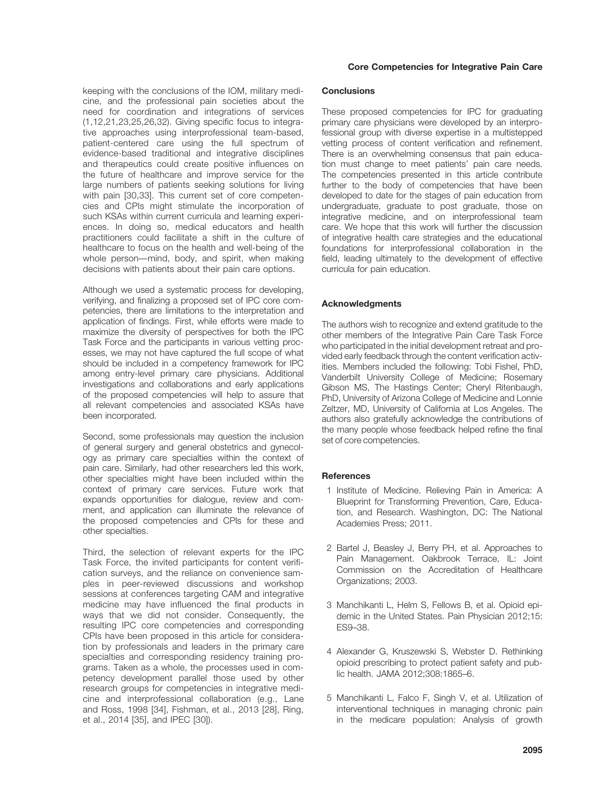keeping with the conclusions of the IOM, military medicine, and the professional pain societies about the need for coordination and integrations of services (1,12,21,23,25,26,32). Giving specific focus to integrative approaches using interprofessional team-based, patient-centered care using the full spectrum of evidence-based traditional and integrative disciplines and therapeutics could create positive influences on the future of healthcare and improve service for the large numbers of patients seeking solutions for living with pain [30,33]. This current set of core competencies and CPIs might stimulate the incorporation of such KSAs within current curricula and learning experiences. In doing so, medical educators and health practitioners could facilitate a shift in the culture of healthcare to focus on the health and well-being of the whole person—mind, body, and spirit, when making decisions with patients about their pain care options.

Although we used a systematic process for developing, verifying, and finalizing a proposed set of IPC core competencies, there are limitations to the interpretation and application of findings. First, while efforts were made to maximize the diversity of perspectives for both the IPC Task Force and the participants in various vetting processes, we may not have captured the full scope of what should be included in a competency framework for IPC among entry-level primary care physicians. Additional investigations and collaborations and early applications of the proposed competencies will help to assure that all relevant competencies and associated KSAs have been incorporated.

Second, some professionals may question the inclusion of general surgery and general obstetrics and gynecology as primary care specialties within the context of pain care. Similarly, had other researchers led this work, other specialties might have been included within the context of primary care services. Future work that expands opportunities for dialogue, review and comment, and application can illuminate the relevance of the proposed competencies and CPIs for these and other specialties.

Third, the selection of relevant experts for the IPC Task Force, the invited participants for content verification surveys, and the reliance on convenience samples in peer-reviewed discussions and workshop sessions at conferences targeting CAM and integrative medicine may have influenced the final products in ways that we did not consider. Consequently, the resulting IPC core competencies and corresponding CPIs have been proposed in this article for consideration by professionals and leaders in the primary care specialties and corresponding residency training programs. Taken as a whole, the processes used in competency development parallel those used by other research groups for competencies in integrative medicine and interprofessional collaboration (e.g., Lane and Ross, 1998 [34], Fishman, et al., 2013 [28], Ring, et al., 2014 [35], and IPEC [30]).

# Core Competencies for Integrative Pain Care

# **Conclusions**

These proposed competencies for IPC for graduating primary care physicians were developed by an interprofessional group with diverse expertise in a multistepped vetting process of content verification and refinement. There is an overwhelming consensus that pain education must change to meet patients' pain care needs. The competencies presented in this article contribute further to the body of competencies that have been developed to date for the stages of pain education from undergraduate, graduate to post graduate, those on integrative medicine, and on interprofessional team care. We hope that this work will further the discussion of integrative health care strategies and the educational foundations for interprofessional collaboration in the field, leading ultimately to the development of effective curricula for pain education.

# Acknowledgments

The authors wish to recognize and extend gratitude to the other members of the Integrative Pain Care Task Force who participated in the initial development retreat and provided early feedback through the content verification activities. Members included the following: Tobi Fishel, PhD, Vanderbilt University College of Medicine; Rosemary Gibson MS, The Hastings Center; Cheryl Ritenbaugh, PhD, University of Arizona College of Medicine and Lonnie Zeltzer, MD, University of California at Los Angeles. The authors also gratefully acknowledge the contributions of the many people whose feedback helped refine the final set of core competencies.

## **References**

- 1 Institute of Medicine. Relieving Pain in America: A Blueprint for Transforming Prevention, Care, Education, and Research. Washington, DC: The National Academies Press; 2011.
- 2 Bartel J, Beasley J, Berry PH, et al. Approaches to Pain Management. Oakbrook Terrace, IL: Joint Commission on the Accreditation of Healthcare Organizations; 2003.
- 3 Manchikanti L, Helm S, Fellows B, et al. Opioid epidemic in the United States. Pain Physician 2012;15: ES9–38.
- 4 Alexander G, Kruszewski S, Webster D. Rethinking opioid prescribing to protect patient safety and public health. JAMA 2012;308:1865–6.
- 5 Manchikanti L, Falco F, Singh V, et al. Utilization of interventional techniques in managing chronic pain in the medicare population: Analysis of growth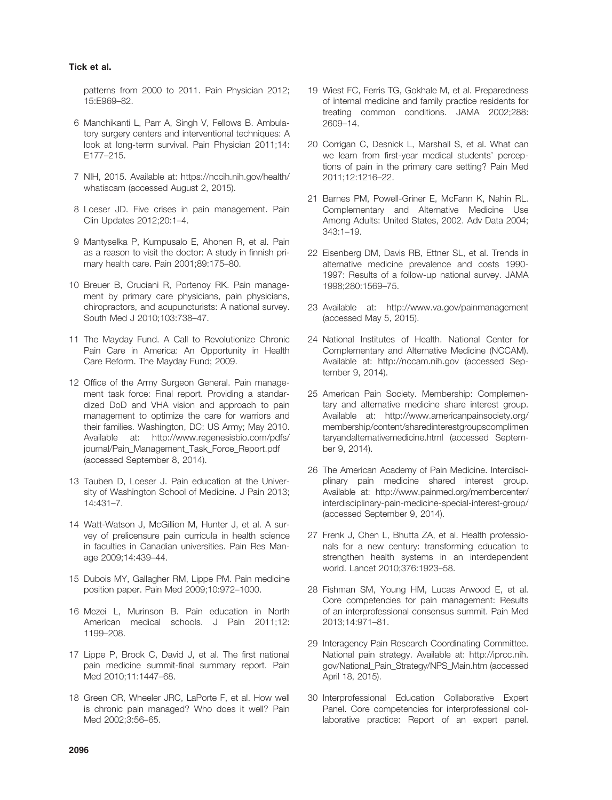# Tick et al.

patterns from 2000 to 2011. Pain Physician 2012; 15:E969–82.

- 6 Manchikanti L, Parr A, Singh V, Fellows B. Ambulatory surgery centers and interventional techniques: A look at long-term survival. Pain Physician 2011;14: E177–215.
- 7 NIH, 2015. Available at: [https://nccih.nih.gov/health/](http://https://nccih.nih.gov/health/whatiscam) [whatiscam](http://https://nccih.nih.gov/health/whatiscam) (accessed August 2, 2015).
- 8 Loeser JD. Five crises in pain management. Pain Clin Updates 2012;20:1–4.
- 9 Mantyselka P, Kumpusalo E, Ahonen R, et al. Pain as a reason to visit the doctor: A study in finnish primary health care. Pain 2001;89:175–80.
- 10 Breuer B, Cruciani R, Portenoy RK. Pain management by primary care physicians, pain physicians, chiropractors, and acupuncturists: A national survey. South Med J 2010;103:738–47.
- 11 The Mayday Fund. A Call to Revolutionize Chronic Pain Care in America: An Opportunity in Health Care Reform. The Mayday Fund; 2009.
- 12 Office of the Army Surgeon General. Pain management task force: Final report. Providing a standardized DoD and VHA vision and approach to pain management to optimize the care for warriors and their families. Washington, DC: US Army; May 2010. Available at: [http://www.regenesisbio.com/pdfs/](http://www.regenesisbio.com/pdfs/journal/Pain_Management_Task_Force_Report.pdf) [journal/Pain\\_Management\\_Task\\_Force\\_Report.pdf](http://www.regenesisbio.com/pdfs/journal/Pain_Management_Task_Force_Report.pdf) (accessed September 8, 2014).
- 13 Tauben D, Loeser J. Pain education at the University of Washington School of Medicine. J Pain 2013; 14:431–7.
- 14 Watt-Watson J, McGillion M, Hunter J, et al. A survey of prelicensure pain curricula in health science in faculties in Canadian universities. Pain Res Manage 2009;14:439–44.
- 15 Dubois MY, Gallagher RM, Lippe PM. Pain medicine position paper. Pain Med 2009;10:972–1000.
- 16 Mezei L, Murinson B. Pain education in North American medical schools. J Pain 2011;12: 1199–208.
- 17 Lippe P, Brock C, David J, et al. The first national pain medicine summit-final summary report. Pain Med 2010;11:1447–68.
- 18 Green CR, Wheeler JRC, LaPorte F, et al. How well is chronic pain managed? Who does it well? Pain Med 2002;3:56–65.
- 19 Wiest FC, Ferris TG, Gokhale M, et al. Preparedness of internal medicine and family practice residents for treating common conditions. JAMA 2002;288: 2609–14.
- 20 Corrigan C, Desnick L, Marshall S, et al. What can we learn from first-year medical students' perceptions of pain in the primary care setting? Pain Med 2011;12:1216–22.
- 21 Barnes PM, Powell-Griner E, McFann K, Nahin RL. Complementary and Alternative Medicine Use Among Adults: United States, 2002. Adv Data 2004; 343:1–19.
- 22 Eisenberg DM, Davis RB, Ettner SL, et al. Trends in alternative medicine prevalence and costs 1990- 1997: Results of a follow-up national survey. JAMA 1998;280:1569–75.
- 23 Available at: http://www.va.gov/painmanagement (accessed May 5, 2015).
- 24 National Institutes of Health. National Center for Complementary and Alternative Medicine (NCCAM). Available at:<http://nccam.nih.gov> (accessed September 9, 2014).
- 25 American Pain Society. Membership: Complementary and alternative medicine share interest group. Available at: [http://www.americanpainsociety.org/](http://www.americanpainsociety.org/membership/content/sharedinterestgroupscomplimentaryandalternativemedicine.html) [membership/content/sharedinterestgroupscomplimen](http://www.americanpainsociety.org/membership/content/sharedinterestgroupscomplimentaryandalternativemedicine.html) [taryandalternativemedicine.html](http://www.americanpainsociety.org/membership/content/sharedinterestgroupscomplimentaryandalternativemedicine.html) (accessed September 9, 2014).
- 26 The American Academy of Pain Medicine. Interdisciplinary pain medicine shared interest group. Available at: [http://www.painmed.org/membercenter/](http://www.painmed.org/membercenter/interdisciplinary-pain-medicine-special-interest-group/) [interdisciplinary-pain-medicine-special-interest-group/](http://www.painmed.org/membercenter/interdisciplinary-pain-medicine-special-interest-group/) (accessed September 9, 2014).
- 27 Frenk J, Chen L, Bhutta ZA, et al. Health professionals for a new century: transforming education to strengthen health systems in an interdependent world. Lancet 2010;376:1923–58.
- 28 Fishman SM, Young HM, Lucas Arwood E, et al. Core competencies for pain management: Results of an interprofessional consensus summit. Pain Med 2013;14:971–81.
- 29 Interagency Pain Research Coordinating Committee. National pain strategy. Available at: http://iprcc.nih. gov/National\_Pain\_Strategy/NPS\_Main.htm (accessed April 18, 2015).
- 30 Interprofessional Education Collaborative Expert Panel. Core competencies for interprofessional collaborative practice: Report of an expert panel.